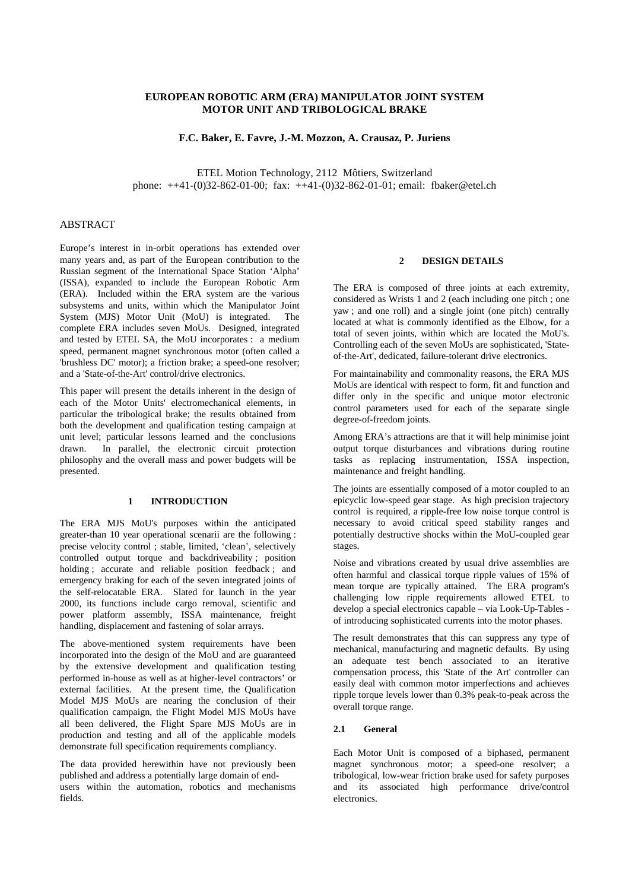# **EUROPEAN ROBOTIC ARM (ERA) MANIPULATOR JOINT SYSTEM MOTOR UNIT AND TRIBOLOGICAL BRAKE**

**F.C. Baker, E. Favre, J.-M. Mozzon, A. Crausaz, P. Juriens**

ETEL Motion Technology, 2112 Môtiers, Switzerland phone: ++41-(0)32-862-01-00; fax: ++41-(0)32-862-01-01; email: fbaker@etel.ch

# ABSTRACT

Europe's interest in in-orbit operations has extended over many years and, as part of the European contribution to the Russian segment of the International Space Station 'Alpha' (ISSA), expanded to include the European Robotic Arm (ERA). Included within the ERA system are the various subsystems and units, within which the Manipulator Joint System (MJS) Motor Unit (MoU) is integrated. The complete ERA includes seven MoUs. Designed, integrated and tested by ETEL SA, the MoU incorporates : a medium speed, permanent magnet synchronous motor (often called a 'brushless DC' motor); a friction brake; a speed-one resolver; and a 'State-of-the-Art' control/drive electronics.

This paper will present the details inherent in the design of each of the Motor Units' electromechanical elements, in particular the tribological brake; the results obtained from both the development and qualification testing campaign at unit level; particular lessons learned and the conclusions drawn. In parallel, the electronic circuit protection philosophy and the overall mass and power budgets will be presented.

#### **1 INTRODUCTION**

The ERA MJS MoU's purposes within the anticipated greater-than 10 year operational scenarii are the following : precise velocity control ; stable, limited, 'clean', selectively controlled output torque and backdriveability ; position holding ; accurate and reliable position feedback ; and emergency braking for each of the seven integrated joints of the self-relocatable ERA. Slated for launch in the year 2000, its functions include cargo removal, scientific and power platform assembly, ISSA maintenance, freight handling, displacement and fastening of solar arrays.

The above-mentioned system requirements have been incorporated into the design of the MoU and are guaranteed by the extensive development and qualification testing performed in-house as well as at higher-level contractors' or external facilities. At the present time, the Qualification Model MJS MoUs are nearing the conclusion of their qualification campaign, the Flight Model MJS MoUs have all been delivered, the Flight Spare MJS MoUs are in production and testing and all of the applicable models demonstrate full specification requirements compliancy.

The data provided herewithin have not previously been published and address a potentially large domain of endusers within the automation, robotics and mechanisms fields.

# **2 DESIGN DETAILS**

The ERA is composed of three joints at each extremity, considered as Wrists 1 and 2 (each including one pitch ; one yaw ; and one roll) and a single joint (one pitch) centrally located at what is commonly identified as the Elbow, for a total of seven joints, within which are located the MoU's. Controlling each of the seven MoUs are sophisticated, 'Stateof-the-Art', dedicated, failure-tolerant drive electronics.

For maintainability and commonality reasons, the ERA MJS MoUs are identical with respect to form, fit and function and differ only in the specific and unique motor electronic control parameters used for each of the separate single degree-of-freedom joints.

Among ERA's attractions are that it will help minimise joint output torque disturbances and vibrations during routine tasks as replacing instrumentation, ISSA inspection, maintenance and freight handling.

The joints are essentially composed of a motor coupled to an epicyclic low-speed gear stage. As high precision trajectory control is required, a ripple-free low noise torque control is necessary to avoid critical speed stability ranges and potentially destructive shocks within the MoU-coupled gear stages.

Noise and vibrations created by usual drive assemblies are often harmful and classical torque ripple values of 15% of mean torque are typically attained. The ERA program's challenging low ripple requirements allowed ETEL to develop a special electronics capable – via Look-Up-Tables of introducing sophisticated currents into the motor phases.

The result demonstrates that this can suppress any type of mechanical, manufacturing and magnetic defaults. By using an adequate test bench associated to an iterative compensation process, this 'State of the Art' controller can easily deal with common motor imperfections and achieves ripple torque levels lower than 0.3% peak-to-peak across the overall torque range.

#### **2.1 General**

Each Motor Unit is composed of a biphased, permanent magnet synchronous motor; a speed-one resolver; a tribological, low-wear friction brake used for safety purposes and its associated high performance drive/control electronics.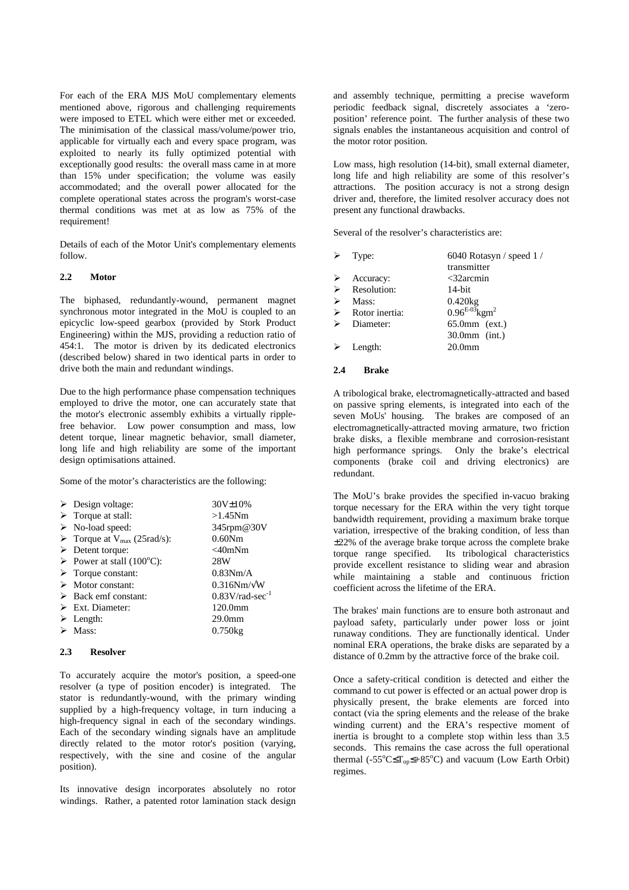For each of the ERA MJS MoU complementary elements mentioned above, rigorous and challenging requirements were imposed to ETEL which were either met or exceeded. The minimisation of the classical mass/volume/power trio, applicable for virtually each and every space program, was exploited to nearly its fully optimized potential with exceptionally good results: the overall mass came in at more than 15% under specification; the volume was easily accommodated; and the overall power allocated for the complete operational states across the program's worst-case thermal conditions was met at as low as 75% of the requirement!

Details of each of the Motor Unit's complementary elements follow.

## **2.2 Motor**

The biphased, redundantly-wound, permanent magnet synchronous motor integrated in the MoU is coupled to an epicyclic low-speed gearbox (provided by Stork Product Engineering) within the MJS, providing a reduction ratio of 454:1. The motor is driven by its dedicated electronics (described below) shared in two identical parts in order to drive both the main and redundant windings.

Due to the high performance phase compensation techniques employed to drive the motor, one can accurately state that the motor's electronic assembly exhibits a virtually ripplefree behavior. Low power consumption and mass, low detent torque, linear magnetic behavior, small diameter, long life and high reliability are some of the important design optimisations attained.

Some of the motor's characteristics are the following:

| $30V \pm 10\%$                                                                                                                                                                                                                                                                                                                                                                                                                     |
|------------------------------------------------------------------------------------------------------------------------------------------------------------------------------------------------------------------------------------------------------------------------------------------------------------------------------------------------------------------------------------------------------------------------------------|
| $>1.45$ Nm                                                                                                                                                                                                                                                                                                                                                                                                                         |
| 345rpm@30V                                                                                                                                                                                                                                                                                                                                                                                                                         |
| 0.60Nm                                                                                                                                                                                                                                                                                                                                                                                                                             |
| $<$ 40mNm                                                                                                                                                                                                                                                                                                                                                                                                                          |
| 28W                                                                                                                                                                                                                                                                                                                                                                                                                                |
| 0.83Nm/A                                                                                                                                                                                                                                                                                                                                                                                                                           |
| $0.316$ Nm/ $\sqrt{\text{W}}$                                                                                                                                                                                                                                                                                                                                                                                                      |
| $0.83$ V/rad-sec <sup>-1</sup>                                                                                                                                                                                                                                                                                                                                                                                                     |
| $120.0$ mm                                                                                                                                                                                                                                                                                                                                                                                                                         |
| 29.0 <sub>mm</sub>                                                                                                                                                                                                                                                                                                                                                                                                                 |
| $0.750$ kg                                                                                                                                                                                                                                                                                                                                                                                                                         |
| $\triangleright$ Design voltage:<br>$\triangleright$ Torque at stall:<br>$\triangleright$ No-load speed:<br>$\triangleright$ Torque at V <sub>max</sub> (25rad/s):<br>$\triangleright$ Detent torque:<br>Power at stall $(100^{\circ}C)$ :<br>$\triangleright$ Torque constant:<br>$\triangleright$ Motor constant:<br>$\triangleright$ Back emf constant:<br>$\triangleright$ Ext. Diameter:<br>$\triangleright$ Length:<br>Mass: |

#### **2.3 Resolver**

To accurately acquire the motor's position, a speed-one resolver (a type of position encoder) is integrated. The stator is redundantly-wound, with the primary winding supplied by a high-frequency voltage, in turn inducing a high-frequency signal in each of the secondary windings. Each of the secondary winding signals have an amplitude directly related to the motor rotor's position (varying, respectively, with the sine and cosine of the angular position).

Its innovative design incorporates absolutely no rotor windings. Rather, a patented rotor lamination stack design and assembly technique, permitting a precise waveform periodic feedback signal, discretely associates a 'zeroposition' reference point. The further analysis of these two signals enables the instantaneous acquisition and control of the motor rotor position.

Low mass, high resolution (14-bit), small external diameter, long life and high reliability are some of this resolver's attractions. The position accuracy is not a strong design driver and, therefore, the limited resolver accuracy does not present any functional drawbacks.

Several of the resolver's characteristics are:

|   | $\triangleright$ Type:          | 6040 Rotasyn / speed 1 /       |
|---|---------------------------------|--------------------------------|
|   |                                 | transmitter                    |
|   | $\triangleright$ Accuracy:      | $<$ 32arcmin                   |
|   | $\triangleright$ Resolution:    | $14$ -bit                      |
| ➤ | Mass:                           | $0.420$ kg                     |
|   | $\triangleright$ Rotor inertia: | $0.96^{E-03}$ kgm <sup>2</sup> |
|   | $\triangleright$ Diameter:      | $65.0$ mm $(ext.)$             |
|   |                                 | $30.0$ mm (int.)               |
|   | $\triangleright$ Length:        | 20.0 <sub>mm</sub>             |
|   |                                 |                                |

#### **2.4 Brake**

A tribological brake, electromagnetically-attracted and based on passive spring elements, is integrated into each of the seven MoUs' housing. The brakes are composed of an electromagnetically-attracted moving armature, two friction brake disks, a flexible membrane and corrosion-resistant high performance springs. Only the brake's electrical components (brake coil and driving electronics) are redundant.

The MoU's brake provides the specified in-vacuo braking torque necessary for the ERA within the very tight torque bandwidth requirement, providing a maximum brake torque variation, irrespective of the braking condition, of less than ±22% of the average brake torque across the complete brake torque range specified. Its tribological characteristics provide excellent resistance to sliding wear and abrasion while maintaining a stable and continuous friction coefficient across the lifetime of the ERA.

The brakes' main functions are to ensure both astronaut and payload safety, particularly under power loss or joint runaway conditions. They are functionally identical. Under nominal ERA operations, the brake disks are separated by a distance of 0.2mm by the attractive force of the brake coil.

Once a safety-critical condition is detected and either the command to cut power is effected or an actual power drop is physically present, the brake elements are forced into contact (via the spring elements and the release of the brake winding current) and the ERA's respective moment of inertia is brought to a complete stop within less than 3.5 seconds. This remains the case across the full operational thermal (- $55^{\circ}$ C $\leq$ T<sub>op</sub> $\leq$ +85<sup>o</sup>C) and vacuum (Low Earth Orbit) regimes.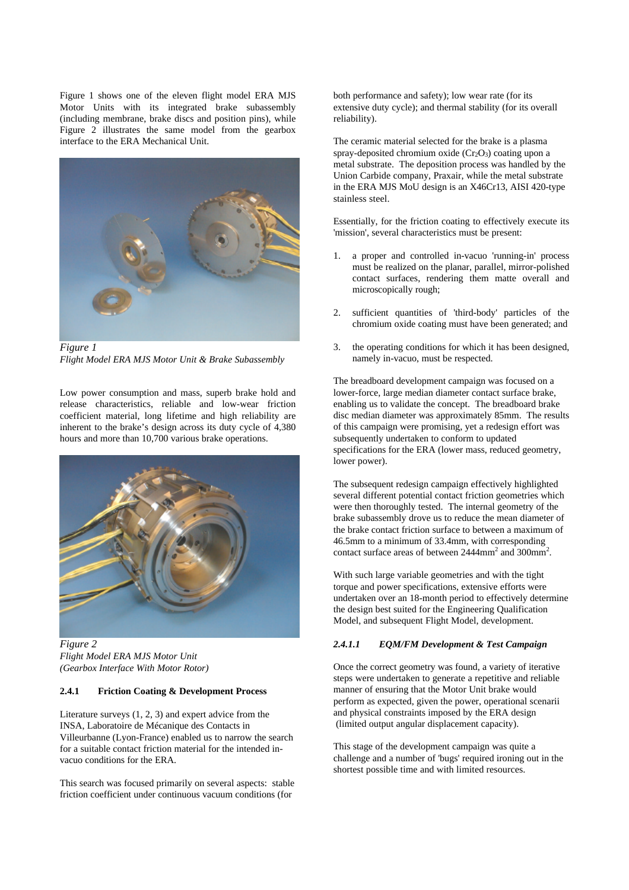Figure 1 shows one of the eleven flight model ERA MJS Motor Units with its integrated brake subassembly (including membrane, brake discs and position pins), while Figure 2 illustrates the same model from the gearbox interface to the ERA Mechanical Unit.



*Figure 1 Flight Model ERA MJS Motor Unit & Brake Subassembly*

Low power consumption and mass, superb brake hold and release characteristics, reliable and low-wear friction coefficient material, long lifetime and high reliability are inherent to the brake's design across its duty cycle of 4,380 hours and more than 10,700 various brake operations.



*Figure 2 Flight Model ERA MJS Motor Unit (Gearbox Interface With Motor Rotor)*

### **2.4.1 Friction Coating & Development Process**

Literature surveys (1, 2, 3) and expert advice from the INSA, Laboratoire de Mécanique des Contacts in Villeurbanne (Lyon-France) enabled us to narrow the search for a suitable contact friction material for the intended invacuo conditions for the ERA.

This search was focused primarily on several aspects: stable friction coefficient under continuous vacuum conditions (for

both performance and safety); low wear rate (for its extensive duty cycle); and thermal stability (for its overall reliability).

The ceramic material selected for the brake is a plasma spray-deposited chromium oxide  $(Cr<sub>2</sub>O<sub>3</sub>)$  coating upon a metal substrate. The deposition process was handled by the Union Carbide company, Praxair, while the metal substrate in the ERA MJS MoU design is an X46Cr13, AISI 420-type stainless steel.

Essentially, for the friction coating to effectively execute its 'mission', several characteristics must be present:

- 1. a proper and controlled in-vacuo 'running-in' process must be realized on the planar, parallel, mirror-polished contact surfaces, rendering them matte overall and microscopically rough;
- 2. sufficient quantities of 'third-body' particles of the chromium oxide coating must have been generated; and
- 3. the operating conditions for which it has been designed, namely in-vacuo, must be respected.

The breadboard development campaign was focused on a lower-force, large median diameter contact surface brake, enabling us to validate the concept. The breadboard brake disc median diameter was approximately 85mm. The results of this campaign were promising, yet a redesign effort was subsequently undertaken to conform to updated specifications for the ERA (lower mass, reduced geometry, lower power).

The subsequent redesign campaign effectively highlighted several different potential contact friction geometries which were then thoroughly tested. The internal geometry of the brake subassembly drove us to reduce the mean diameter of the brake contact friction surface to between a maximum of 46.5mm to a minimum of 33.4mm, with corresponding contact surface areas of between  $2444$ mm<sup>2</sup> and  $300$ mm<sup>2</sup>.

With such large variable geometries and with the tight torque and power specifications, extensive efforts were undertaken over an 18-month period to effectively determine the design best suited for the Engineering Qualification Model, and subsequent Flight Model, development.

# *2.4.1.1 EQM/FM Development & Test Campaign*

Once the correct geometry was found, a variety of iterative steps were undertaken to generate a repetitive and reliable manner of ensuring that the Motor Unit brake would perform as expected, given the power, operational scenarii and physical constraints imposed by the ERA design (limited output angular displacement capacity).

This stage of the development campaign was quite a challenge and a number of 'bugs' required ironing out in the shortest possible time and with limited resources.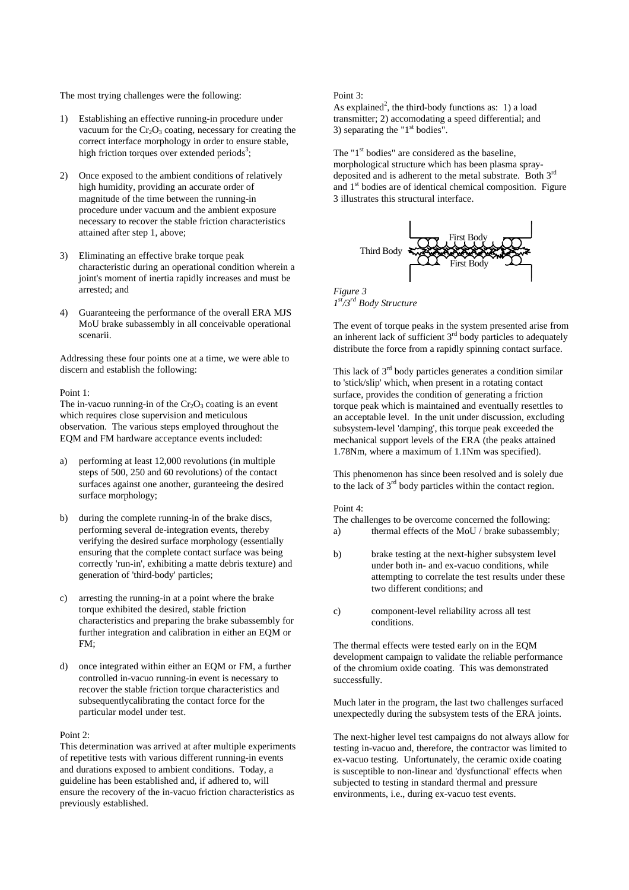The most trying challenges were the following:

- 1) Establishing an effective running-in procedure under vacuum for the  $Cr_2O_3$  coating, necessary for creating the correct interface morphology in order to ensure stable, high friction torques over extended periods<sup>3</sup>;
- 2) Once exposed to the ambient conditions of relatively high humidity, providing an accurate order of magnitude of the time between the running-in procedure under vacuum and the ambient exposure necessary to recover the stable friction characteristics attained after step 1, above;
- 3) Eliminating an effective brake torque peak characteristic during an operational condition wherein a joint's moment of inertia rapidly increases and must be arrested; and
- 4) Guaranteeing the performance of the overall ERA MJS MoU brake subassembly in all conceivable operational scenarii.

Addressing these four points one at a time, we were able to discern and establish the following:

#### Point 1:

The in-vacuo running-in of the  $Cr_2O_3$  coating is an event which requires close supervision and meticulous observation. The various steps employed throughout the EQM and FM hardware acceptance events included:

- a) performing at least 12,000 revolutions (in multiple steps of 500, 250 and 60 revolutions) of the contact surfaces against one another, guranteeing the desired surface morphology;
- b) during the complete running-in of the brake discs, performing several de-integration events, thereby verifying the desired surface morphology (essentially ensuring that the complete contact surface was being correctly 'run-in', exhibiting a matte debris texture) and generation of 'third-body' particles;
- c) arresting the running-in at a point where the brake torque exhibited the desired, stable friction characteristics and preparing the brake subassembly for further integration and calibration in either an EQM or FM;
- d) once integrated within either an EQM or FM, a further controlled in-vacuo running-in event is necessary to recover the stable friction torque characteristics and subsequentlycalibrating the contact force for the particular model under test.

## Point 2:

This determination was arrived at after multiple experiments of repetitive tests with various different running-in events and durations exposed to ambient conditions. Today, a guideline has been established and, if adhered to, will ensure the recovery of the in-vacuo friction characteristics as previously established.

#### Point 3:

As explained<sup>2</sup>, the third-body functions as: 1) a load transmitter; 2) accomodating a speed differential; and 3) separating the " $1<sup>st</sup>$  bodies".

The " $1<sup>st</sup>$  bodies" are considered as the baseline, morphological structure which has been plasma spraydeposited and is adherent to the metal substrate. Both 3rd and  $1<sup>st</sup>$  bodies are of identical chemical composition. Figure 3 illustrates this structural interface.



*Figure 3 1 st/3rd Body Structure*

The event of torque peaks in the system presented arise from an inherent lack of sufficient  $3<sup>rd</sup>$  body particles to adequately distribute the force from a rapidly spinning contact surface.

This lack of  $3<sup>rd</sup>$  body particles generates a condition similar to 'stick/slip' which, when present in a rotating contact surface, provides the condition of generating a friction torque peak which is maintained and eventually resettles to an acceptable level. In the unit under discussion, excluding subsystem-level 'damping', this torque peak exceeded the mechanical support levels of the ERA (the peaks attained 1.78Nm, where a maximum of 1.1Nm was specified).

This phenomenon has since been resolved and is solely due to the lack of  $3<sup>rd</sup>$  body particles within the contact region.

### Point 4:

The challenges to be overcome concerned the following: a) thermal effects of the MoU / brake subassembly;

- b) brake testing at the next-higher subsystem level under both in- and ex-vacuo conditions, while attempting to correlate the test results under these two different conditions; and
- c) component-level reliability across all test conditions.

The thermal effects were tested early on in the EQM development campaign to validate the reliable performance of the chromium oxide coating. This was demonstrated successfully.

Much later in the program, the last two challenges surfaced unexpectedly during the subsystem tests of the ERA joints.

The next-higher level test campaigns do not always allow for testing in-vacuo and, therefore, the contractor was limited to ex-vacuo testing. Unfortunately, the ceramic oxide coating is susceptible to non-linear and 'dysfunctional' effects when subjected to testing in standard thermal and pressure environments, i.e., during ex-vacuo test events.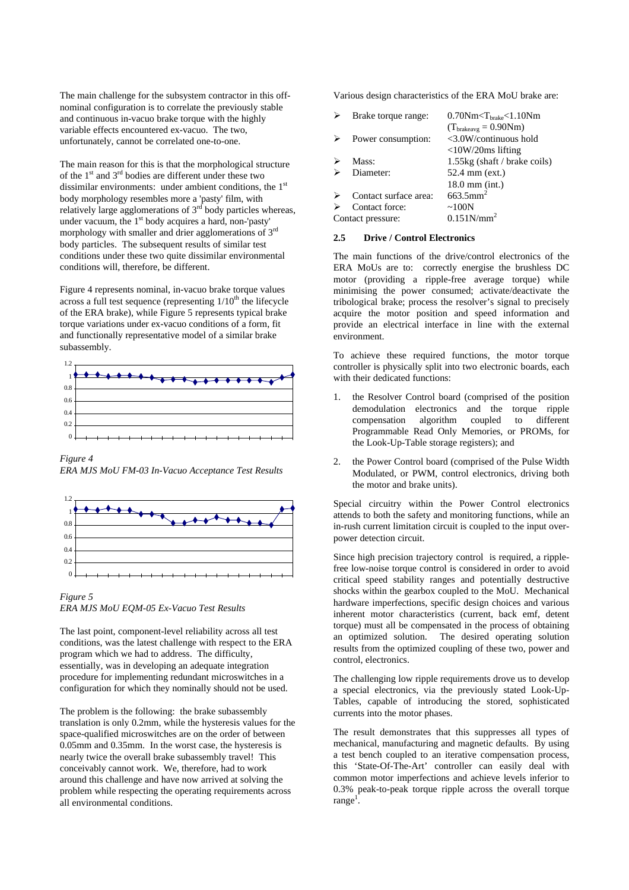The main challenge for the subsystem contractor in this offnominal configuration is to correlate the previously stable and continuous in-vacuo brake torque with the highly variable effects encountered ex-vacuo. The two, unfortunately, cannot be correlated one-to-one.

The main reason for this is that the morphological structure of the  $1<sup>st</sup>$  and  $3<sup>rd</sup>$  bodies are different under these two dissimilar environments: under ambient conditions, the  $1<sup>st</sup>$ body morphology resembles more a 'pasty' film, with relatively large agglomerations of  $3<sup>rd</sup>$  body particles whereas, under vacuum, the  $1<sup>st</sup>$  body acquires a hard, non-'pasty' morphology with smaller and drier agglomerations of 3rd body particles. The subsequent results of similar test conditions under these two quite dissimilar environmental conditions will, therefore, be different.

Figure 4 represents nominal, in-vacuo brake torque values across a full test sequence (representing  $1/10<sup>th</sup>$  the lifecycle of the ERA brake), while Figure 5 represents typical brake torque variations under ex-vacuo conditions of a form, fit and functionally representative model of a similar brake subassembly.



*Figure 4*

*ERA MJS MoU FM-03 In-Vacuo Acceptance Test Results*



*Figure 5 ERA MJS MoU EQM-05 Ex-Vacuo Test Results*

The last point, component-level reliability across all test conditions, was the latest challenge with respect to the ERA program which we had to address. The difficulty, essentially, was in developing an adequate integration procedure for implementing redundant microswitches in a configuration for which they nominally should not be used.

The problem is the following: the brake subassembly translation is only 0.2mm, while the hysteresis values for the space-qualified microswitches are on the order of between 0.05mm and 0.35mm. In the worst case, the hysteresis is nearly twice the overall brake subassembly travel! This conceivably cannot work. We, therefore, had to work around this challenge and have now arrived at solving the problem while respecting the operating requirements across all environmental conditions.

Various design characteristics of the ERA MoU brake are:

| Brake torque range:   | $0.70Nm < T_{brake} < 1.10Nm$   |
|-----------------------|---------------------------------|
|                       | $(T_{brakeavg} = 0.90Nm)$       |
| Power consumption:    | $\langle 3.0W/c$ ontinuous hold |
|                       | $\langle$ 10W/20ms lifting      |
| Mass:                 | 1.55kg (shaft / brake coils)    |
| Diameter:             | 52.4 mm (ext.)                  |
|                       | $18.0$ mm (int.)                |
| Contact surface area: | $663.5$ mm <sup>2</sup>         |
| Contact force:        | $\sim$ 100N                     |
| Contact pressure:     | $0.151N/mm^2$                   |

### **2.5 Drive / Control Electronics**

The main functions of the drive/control electronics of the ERA MoUs are to: correctly energise the brushless DC motor (providing a ripple-free average torque) while minimising the power consumed; activate/deactivate the tribological brake; process the resolver's signal to precisely acquire the motor position and speed information and provide an electrical interface in line with the external environment.

To achieve these required functions, the motor torque controller is physically split into two electronic boards, each with their dedicated functions:

- 1. the Resolver Control board (comprised of the position demodulation electronics and the torque ripple compensation algorithm coupled to different Programmable Read Only Memories, or PROMs, for the Look-Up-Table storage registers); and
- 2. the Power Control board (comprised of the Pulse Width Modulated, or PWM, control electronics, driving both the motor and brake units).

Special circuitry within the Power Control electronics attends to both the safety and monitoring functions, while an in-rush current limitation circuit is coupled to the input overpower detection circuit.

Since high precision trajectory control is required, a ripplefree low-noise torque control is considered in order to avoid critical speed stability ranges and potentially destructive shocks within the gearbox coupled to the MoU. Mechanical hardware imperfections, specific design choices and various inherent motor characteristics (current, back emf, detent torque) must all be compensated in the process of obtaining an optimized solution. The desired operating solution results from the optimized coupling of these two, power and control, electronics.

The challenging low ripple requirements drove us to develop a special electronics, via the previously stated Look-Up-Tables, capable of introducing the stored, sophisticated currents into the motor phases.

The result demonstrates that this suppresses all types of mechanical, manufacturing and magnetic defaults. By using a test bench coupled to an iterative compensation process, this 'State-Of-The-Art' controller can easily deal with common motor imperfections and achieve levels inferior to 0.3% peak-to-peak torque ripple across the overall torque range<sup>1</sup>.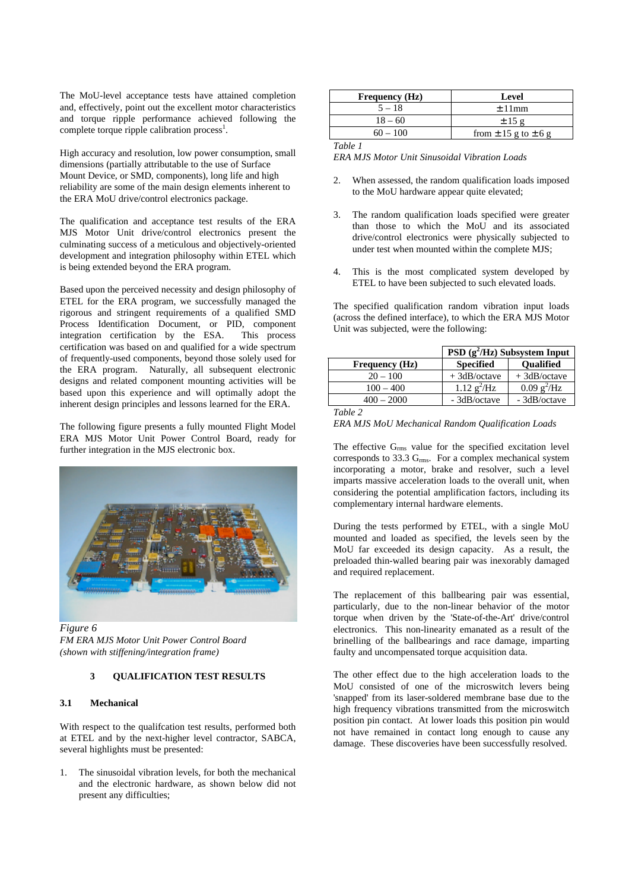The MoU-level acceptance tests have attained completion and, effectively, point out the excellent motor characteristics and torque ripple performance achieved following the complete torque ripple calibration process<sup>1</sup>.

High accuracy and resolution, low power consumption, small dimensions (partially attributable to the use of Surface Mount Device, or SMD, components), long life and high reliability are some of the main design elements inherent to the ERA MoU drive/control electronics package.

The qualification and acceptance test results of the ERA MJS Motor Unit drive/control electronics present the culminating success of a meticulous and objectively-oriented development and integration philosophy within ETEL which is being extended beyond the ERA program.

Based upon the perceived necessity and design philosophy of ETEL for the ERA program, we successfully managed the rigorous and stringent requirements of a qualified SMD Process Identification Document, or PID, component integration certification by the ESA. This process certification was based on and qualified for a wide spectrum of frequently-used components, beyond those solely used for the ERA program. Naturally, all subsequent electronic designs and related component mounting activities will be based upon this experience and will optimally adopt the inherent design principles and lessons learned for the ERA.

The following figure presents a fully mounted Flight Model ERA MJS Motor Unit Power Control Board, ready for further integration in the MJS electronic box.



*Figure 6 FM ERA MJS Motor Unit Power Control Board (shown with stiffening/integration frame)*

# **3 QUALIFICATION TEST RESULTS**

## **3.1 Mechanical**

With respect to the qualifcation test results, performed both at ETEL and by the next-higher level contractor, SABCA, several highlights must be presented:

1. The sinusoidal vibration levels, for both the mechanical and the electronic hardware, as shown below did not present any difficulties;

| <b>Frequency</b> (Hz) | Level                        |
|-----------------------|------------------------------|
| $5 - 18$              | $+11$ mm                     |
| $18 - 60$             | $\pm$ 15 g                   |
| $60 - 100$            | from $\pm$ 15 g to $\pm$ 6 g |
| "able                 |                              |

*ERA MJS Motor Unit Sinusoidal Vibration Loads*

- 2. When assessed, the random qualification loads imposed to the MoU hardware appear quite elevated;
- 3. The random qualification loads specified were greater than those to which the MoU and its associated drive/control electronics were physically subjected to under test when mounted within the complete MJS;
- 4. This is the most complicated system developed by ETEL to have been subjected to such elevated loads.

The specified qualification random vibration input loads (across the defined interface), to which the ERA MJS Motor Unit was subjected, were the following:

|                       | PSD $(g^2/Hz)$ Subsystem Input |                              |
|-----------------------|--------------------------------|------------------------------|
| <b>Frequency</b> (Hz) | <b>Specified</b>               | <b>Oualified</b>             |
| $20 - 100$            | $+3dB/octave$                  | $+3dB/octave$                |
| $100 - 400$           | 1.12 $g^2$ /Hz                 | $0.09 \text{ g}^2/\text{Hz}$ |
| $400 - 2000$          | - 3dB/octave                   | - 3dB/octave                 |
| Table 2               |                                |                              |

#### *ERA MJS MoU Mechanical Random Qualification Loads*

The effective Grms value for the specified excitation level corresponds to 33.3 Grms. For a complex mechanical system incorporating a motor, brake and resolver, such a level imparts massive acceleration loads to the overall unit, when considering the potential amplification factors, including its complementary internal hardware elements.

During the tests performed by ETEL, with a single MoU mounted and loaded as specified, the levels seen by the MoU far exceeded its design capacity. As a result, the preloaded thin-walled bearing pair was inexorably damaged and required replacement.

The replacement of this ballbearing pair was essential, particularly, due to the non-linear behavior of the motor torque when driven by the 'State-of-the-Art' drive/control electronics. This non-linearity emanated as a result of the brinelling of the ballbearings and race damage, imparting faulty and uncompensated torque acquisition data.

The other effect due to the high acceleration loads to the MoU consisted of one of the microswitch levers being 'snapped' from its laser-soldered membrane base due to the high frequency vibrations transmitted from the microswitch position pin contact. At lower loads this position pin would not have remained in contact long enough to cause any damage. These discoveries have been successfully resolved.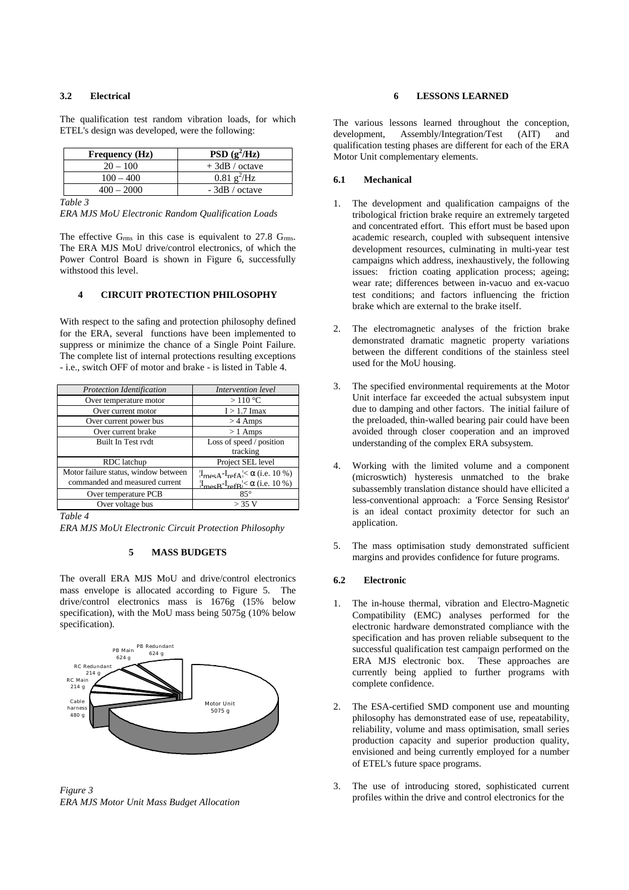#### **3.2 Electrical**

| <b>Frequency</b> (Hz) | PSD $(g^2/Hz)$                       |
|-----------------------|--------------------------------------|
| $20 - 100$            | $+3dB /$ octave                      |
| $100 - 400$           | $\overline{0.81}$ g <sup>2</sup> /Hz |
| $400 - 2000$          | $-3dB / octave$                      |

The qualification test random vibration loads, for which ETEL's design was developed, were the following:

*Table 3*

*ERA MJS MoU Electronic Random Qualification Loads*

The effective  $G_{\rm rms}$  in this case is equivalent to 27.8  $G_{\rm rms}$ . The ERA MJS MoU drive/control electronics, of which the Power Control Board is shown in Figure 6, successfully withstood this level.

# **4 CIRCUIT PROTECTION PHILOSOPHY**

With respect to the safing and protection philosophy defined for the ERA, several functions have been implemented to suppress or minimize the chance of a Single Point Failure. The complete list of internal protections resulting exceptions - i.e., switch OFF of motor and brake - is listed in Table 4.

| <b>Protection Identification</b>     | Intervention level                                        |
|--------------------------------------|-----------------------------------------------------------|
| Over temperature motor               | $>110\text{ °C}$                                          |
| Over current motor                   | $I > 1.7$ Imax                                            |
| Over current power bus               | $>$ 4 Amps                                                |
| Over current brake                   | $>1$ Amps                                                 |
| Built In Test rydt                   | Loss of speed / position                                  |
|                                      | tracking                                                  |
| RDC latchup                          | Project SEL level                                         |
| Motor failure status, window between | $I_{\text{mech}} - I_{\text{refA}} < \alpha$ (i.e. 10 %)  |
| commanded and measured current       | $I_{\text{me}R} - I_{\text{ref}R} \le \alpha$ (i.e. 10 %) |
| Over temperature PCB                 | $85^\circ$                                                |
| Over voltage bus                     | $>$ 3.5 V                                                 |

*Table 4*

*ERA MJS MoUt Electronic Circuit Protection Philosophy*

### **5 MASS BUDGETS**

The overall ERA MJS MoU and drive/control electronics mass envelope is allocated according to Figure 5. The drive/control electronics mass is 1676g (15% below specification), with the MoU mass being 5075g (10% below specification).



*Figure 3 ERA MJS Motor Unit Mass Budget Allocation*

### **6 LESSONS LEARNED**

The various lessons learned throughout the conception, development, Assembly/Integration/Test (AIT) and qualification testing phases are different for each of the ERA Motor Unit complementary elements.

#### **6.1 Mechanical**

- 1. The development and qualification campaigns of the tribological friction brake require an extremely targeted and concentrated effort. This effort must be based upon academic research, coupled with subsequent intensive development resources, culminating in multi-year test campaigns which address, inexhaustively, the following issues: friction coating application process; ageing; wear rate; differences between in-vacuo and ex-vacuo test conditions; and factors influencing the friction brake which are external to the brake itself.
- 2. The electromagnetic analyses of the friction brake demonstrated dramatic magnetic property variations between the different conditions of the stainless steel used for the MoU housing.
- 3. The specified environmental requirements at the Motor Unit interface far exceeded the actual subsystem input due to damping and other factors. The initial failure of the preloaded, thin-walled bearing pair could have been avoided through closer cooperation and an improved understanding of the complex ERA subsystem.
- 4. Working with the limited volume and a component (microswtich) hysteresis unmatched to the brake subassembly translation distance should have ellicited a less-conventional approach: a 'Force Sensing Resistor' is an ideal contact proximity detector for such an application.
- 5. The mass optimisation study demonstrated sufficient margins and provides confidence for future programs.

#### **6.2 Electronic**

- 1. The in-house thermal, vibration and Electro-Magnetic Compatibility (EMC) analyses performed for the electronic hardware demonstrated compliance with the specification and has proven reliable subsequent to the successful qualification test campaign performed on the ERA MJS electronic box. These approaches are currently being applied to further programs with complete confidence.
- 2. The ESA-certified SMD component use and mounting philosophy has demonstrated ease of use, repeatability, reliability, volume and mass optimisation, small series production capacity and superior production quality, envisioned and being currently employed for a number of ETEL's future space programs.
- 3. The use of introducing stored, sophisticated current profiles within the drive and control electronics for the